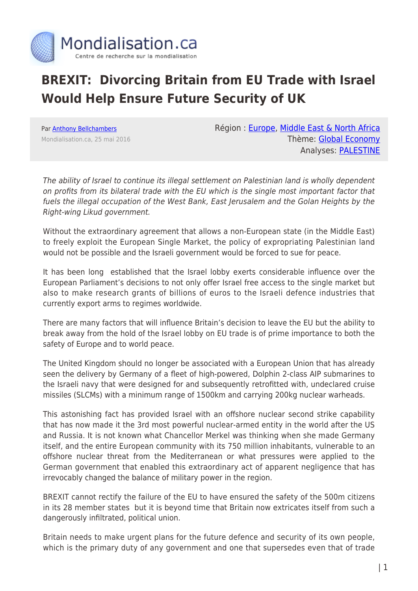

## **BREXIT: Divorcing Britain from EU Trade with Israel Would Help Ensure Future Security of UK**

Par [Anthony Bellchambers](https://www.mondialisation.ca/author/bellchambers) Mondialisation.ca, 25 mai 2016 Région : [Europe](https://www.mondialisation.ca/region/europe), [Middle East & North Africa](https://www.mondialisation.ca/region/middle-east) Thème: [Global Economy](https://www.mondialisation.ca/theme/global-economy) Analyses: [PALESTINE](https://www.mondialisation.ca/indepthreport/palestine)

The ability of Israel to continue its illegal settlement on Palestinian land is wholly dependent on profits from its bilateral trade with the EU which is the single most important factor that fuels the illegal occupation of the West Bank, East Jerusalem and the Golan Heights by the Right-wing Likud government.

Without the extraordinary agreement that allows a non-European state (in the Middle East) to freely exploit the European Single Market, the policy of expropriating Palestinian land would not be possible and the Israeli government would be forced to sue for peace.

It has been long established that the Israel lobby exerts considerable influence over the European Parliament's decisions to not only offer Israel free access to the single market but also to make research grants of billions of euros to the Israeli defence industries that currently export arms to regimes worldwide.

There are many factors that will influence Britain's decision to leave the EU but the ability to break away from the hold of the Israel lobby on EU trade is of prime importance to both the safety of Europe and to world peace.

The United Kingdom should no longer be associated with a European Union that has already seen the delivery by Germany of a fleet of high-powered, Dolphin 2-class AIP submarines to the Israeli navy that were designed for and subsequently retrofitted with, undeclared cruise missiles (SLCMs) with a minimum range of 1500km and carrying 200kg nuclear warheads.

This astonishing fact has provided Israel with an offshore nuclear second strike capability that has now made it the 3rd most powerful nuclear-armed entity in the world after the US and Russia. It is not known what Chancellor Merkel was thinking when she made Germany itself, and the entire European community with its 750 million inhabitants, vulnerable to an offshore nuclear threat from the Mediterranean or what pressures were applied to the German government that enabled this extraordinary act of apparent negligence that has irrevocably changed the balance of military power in the region.

BREXIT cannot rectify the failure of the EU to have ensured the safety of the 500m citizens in its 28 member states but it is beyond time that Britain now extricates itself from such a dangerously infiltrated, political union.

Britain needs to make urgent plans for the future defence and security of its own people, which is the primary duty of any government and one that supersedes even that of trade